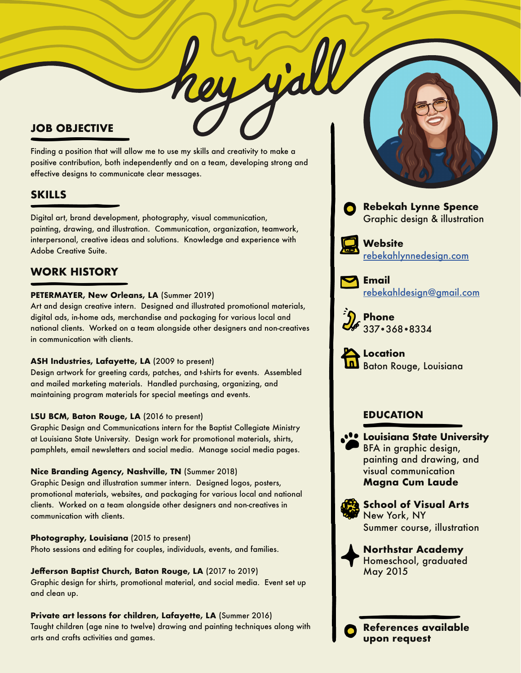## **JOB OBJECTIVE**

Finding a position that will allow me to use my skills and creativity to make a positive contribution, both independently and on a team, developing strong and effective designs to communicate clear messages.

# **SKILLS**

Digital art, brand development, photography, visual communication, painting, drawing, and illustration. Communication, organization, teamwork, interpersonal, creative ideas and solutions. Knowledge and experience with Adobe Creative Suite.

# **WORK HISTORY**

### **PETERMAYER, New Orleans, LA** (Summer 2019)

Art and design creative intern. Designed and illustrated promotional materials, digital ads, in-home ads, merchandise and packaging for various local and national clients. Worked on a team alongside other designers and non-creatives in communication with clients.

### **ASH Industries, Lafayette, LA** (2009 to present)

Design artwork for greeting cards, patches, and t-shirts for events. Assembled and mailed marketing materials. Handled purchasing, organizing, and maintaining program materials for special meetings and events.

### **LSU BCM, Baton Rouge, LA** (2016 to present)

Graphic Design and Communications intern for the Baptist Collegiate Ministry at Louisiana State University. Design work for promotional materials, shirts, pamphlets, email newsletters and social media. Manage social media pages.

### **Nice Branding Agency, Nashville, TN** (Summer 2018)

Graphic Design and illustration summer intern. Designed logos, posters, promotional materials, websites, and packaging for various local and national clients. Worked on a team alongside other designers and non-creatives in communication with clients.

**Photography, Louisiana** (2015 to present) Photo sessions and editing for couples, individuals, events, and families.

**Jefferson Baptist Church, Baton Rouge, LA** (2017 to 2019) Graphic design for shirts, promotional material, and social media. Event set up and clean up.

## **Private art lessons for children, Lafayette, LA** (Summer 2016) Taught children (age nine to twelve) drawing and painting techniques along with arts and crafts activities and games.



Graphic design & illustration



**Website** [rebekahlynnedesign.com](http://www.rebekahlynneillustration.com)



**Email** [rebekahldesign@gmail.com](mailto:rebekahldesign%40gmail.com?subject=)



**Phone** 337 368 8334



**Location** Baton Rouge, Louisiana

## **EDUCATION**

**Louisiana State University** BFA in graphic design, painting and drawing, and visual communication **Magna Cum Laude**



**School of Visual Arts** New York, NY Summer course, illustration

**References available** 



**upon request**